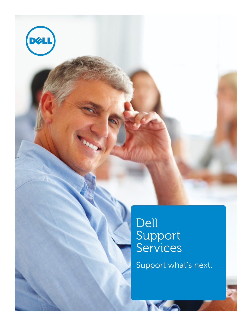

Dell Support Services

Support what's next.

KA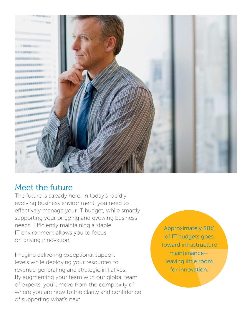

### Meet the future

The future is already here. In today's rapidly evolving business environment, you need to effectively manage your IT budget, while smartly supporting your ongoing and evolving business needs. Efficiently maintaining a stable IT environment allows you to focus on driving innovation.

Imagine delivering exceptional support levels while deploying your resources to revenue-generating and strategic initiatives. By augmenting your team with our global team of experts, you'll move from the complexity of where you are now to the clarity and confidence of supporting what's next.

Approximately 80% of IT budgets goes toward infrastructure maintenance leaving little room for innovation.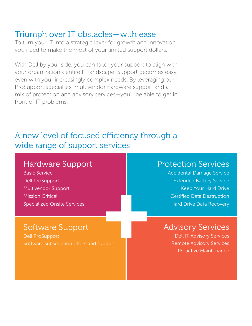### Triumph over IT obstacles—with ease

To turn your IT into a strategic lever for growth and innovation, you need to make the most of your limited support dollars.

With Dell by your side, you can tailor your support to align with your organization's entire IT landscape. Support becomes easy, even with your increasingly complex needs. By leveraging our ProSupport specialists, multivendor hardware support and a mix of protection and advisory services—you'll be able to get in front of IT problems.

# A new level of focused efficiency through a wide range of support services

# Hardware Support

Basic Service Dell ProSupport Multivendor Support Mission Critical Specialized Onsite Services

# Protection Services

Accidental Damage Service Extended Battery Service Keep Your Hard Drive Certified Data Destruction Hard Drive Data Recovery

# Software Support

Dell ProSupport Software subscription offers and support

### Advisory Services

Dell IT Advisory Services Remote Advisory Services Proactive Maintenance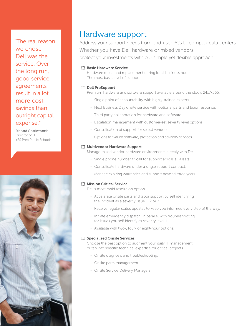"The real reason we chose Dell was the service. Over the long run, good service agreements result in a lot more cost savings than outright capital expense."

Richard Charlesworth Director of IT YES Prep Public Schools



### Hardware support

Address your support needs from end-user PCs to complex data centers. Whether you have Dell hardware or mixed vendors, protect your investments with our simple yet flexible approach.

#### **EXEC** Basic Hardware Service

Hardware repair and replacement during local business hours. The most basic level of support.

#### **Dell ProSupport**

Premium hardware and software support available around the clock, 24x7x365.

- Single point of accountability with highly-trained experts.
- Next Business Day onsite service with optional parts and labor response.
- Third party collaboration for hardware and software.
- Escalation management with customer-set severity level options.
- Consolidation of support for select vendors.
- Options for varied software, protection and advisory services.

#### **Multivendor Hardware Support**

Manage mixed vendor hardware environments directly with Dell.

- Single phone number to call for support across all assets.
- Consolidate hardware under a single support contract.
- Manage expiring warranties and support beyond three years.

#### **Mission Critical Service**

Dell's most rapid resolution option.

- Accelerate onsite parts and labor support by self identifying the incident as a severity issue 1, 2 or 3.
- Receive regular status updates to keep you informed every step of the way.
- Initiate emergency dispatch, in parallel with troubleshooting, for issues you self identify as severity level 1.
- Available with two-, four- or eight-hour options.

#### **Specialized Onsite Services**

Choose the best option to augment your daily IT management, or tap into specific technical expertise for critical projects.

- Onsite diagnosis and troubleshooting.
- Onsite parts management.
- Onsite Service Delivery Managers.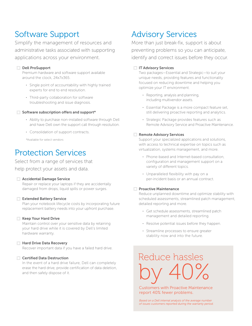# Software Support

Simplify the management of resources and administrative tasks associated with supporting applications across your environment.

#### Dell ProSupport

Premium hardware and software support available around the clock, 24x7x365.

- Single point of accountability with highly trained experts for end to end resolution.
- Third-party collaboration for software troubleshooting and issue diagnosis.

#### $\frac{1}{2}$  Software subscription offers and support\*

- Ability to purchase non-installed software through Dell and have Dell own the support call through resolution.
- Consolidation of support contracts.

\*Available for select vendors

### Protection Services

#### Select from a range of services that

help protect your assets and data.

#### **EXECUTE:** Accidental Damage Service

Repair or replace your laptops if they are accidentally damaged from drops, liquid spills or power surges.

#### **Extended Battery Service**

Plan your notebook lifecycle costs by incorporating future replacement battery needs into your upfront purchase.

#### **Keep Your Hard Drive**

Maintain control over your sensitive data by retaining your hard drive while it is covered by Dell's limited hardware warranty.

#### **Hard Drive Data Recovery**

Recover important data if you have a failed hard drive.

#### **Certified Data Destruction**

In the event of a hard drive failure, Dell can completely erase the hard drive, provide certification of data deletion, and then safely dispose of it.

## Advisory Services

More than just break-fix, support is about preventing problems so you can anticipate, identify and correct issues before they occur.

#### **III Advisory Services**

Two packages—Essential and Strategic—to suit your unique needs, providing features and functionality focused on reducing downtime and helping you optimize your IT environment.

- Reporting, analysis and planning, including multivendor assets.
- Essential Package is a more compact feature set, still delivering proactive reporting and analytics.
- Strategic Package provides features such as Remote Advisory Service and Proactive Maintenance.

#### **EXECUTE: Remote Advisory Services**

Support your specialized applications and solutions, with access to technical expertise on topics such as virtualization, systems management, and more.

- Phone-based and Internet-based consultation, configuration and management support on a variety of different topics.
- Unparalleled flexibility with pay on a per-incident basis or an annual contract.

#### **EXECUTE: Proactive Maintenance**

Reduce unplanned downtime and optimize stability with scheduled assessments, streamlined patch management, detailed reporting and more.

- Get schedule assessments, streamlined patch management and detailed reporting.
- Resolve potential issues before they happen.
- Streamline processes to ensure greater stability now and into the future.

Reduce hassles by 40%

Customers with Proactive Maintenance report 40% fewer problems.

*Based on a Dell internal analysis of the average number of issues customers reported during the warranty period.*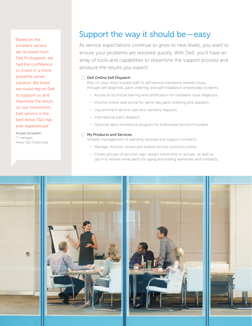"Based on the excellent service we received from Dell ProSupport, we had the confidence to invest in a more powerful server solution. We knew we could rely on Dell to support us and maximize the return on our investment. Dell service is the best Areva T&D has ever experienced."

Arsyad Junaiddin IT manager, Areva T&D (Indonesia)

### Support the way it should be—easy

As service expectations continue to grow to new levels, you want to ensure your problems are resolved quickly. With Dell, you'll have an array of tools and capabilities to streamline the support process and produce the results you expect.

#### **EXECUTE:** Dell Online Self Dispatch

Rely on your most trusted staff to self-service hardware related issues, through self-diagnosis, parts ordering, and self-installation of everyday incidents.

- Access to technical training and certification for hardware issue diagnosis.
- Intuitive online web portal for same-day parts ordering and dispatch.
- Log and track service calls and warranty requests.
- International parts dispatch.
- Optional labor remittance program for Authorized Service Providers.

#### **EXT** My Products and Services

Simplify management of warranty renewal and support contracts.

- Manage, monitor, renew and extend service contracts online.
- Create groups of services tags, assign ownership to groups, as well as opt in to receive email alerts for aging and ending warranties and contracts.

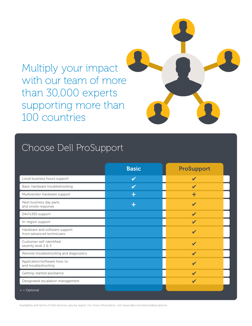# Multiply your impact with our team of more than 30,000 experts supporting more than 100 countries

# Choose Dell ProSupport

|                                                            | <b>Basic</b> | <b>ProSupport</b> |
|------------------------------------------------------------|--------------|-------------------|
| Local business hours support                               | $\checkmark$ |                   |
| Basic hardware troubleshooting                             |              |                   |
| Multivendor hardware support                               | ÷            | ÷                 |
| Next business day parts<br>and onsite response             | ╇            |                   |
| 24x7x365 support                                           |              |                   |
| In-region support                                          |              |                   |
| Hardware and software support<br>from advanced technicians |              |                   |
| Customer self-identified<br>severity level 2 & 3           |              |                   |
| Remote troubleshooting and diagnostics                     |              |                   |
| Application/software how-to<br>and troubleshooting         |              |                   |
| Getting-started assistance                                 |              |                   |
| Designated escalation management                           |              |                   |
| $+$ = Optional                                             |              |                   |

Availability and terms of Dell Services vary by region. For more information, visit www.dell.com/servicedescriptions.